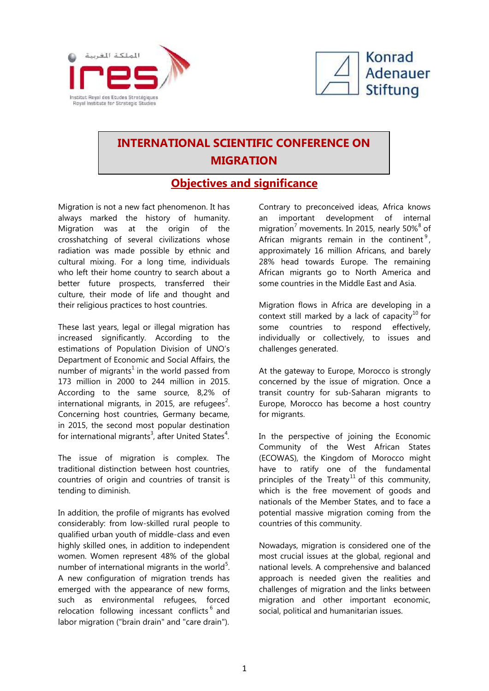



## **INTERNATIONAL SCIENTIFIC CONFERENCE ON MIGRATION**

## **<u>Objectives and significance</u>**

Migration is not a new fact phenomenon. It has always marked the history of humanity. Migration was at the origin of the crosshatching of several civilizations whose radiation was made possible by ethnic and cultural mixing. For a long time, individuals who left their home country to search about a better future prospects, transferred their culture, their mode of life and thought and their religious practices to host countries.

These last years, legal or illegal migration has increased significantly. According to the estimations of Population Division of UNO's Department of Economic and Social Affairs, the number of migrants<sup>1</sup> in the world passed from 173 million in 2000 to 244 million in 2015. According to the same source, 8,2% of international migrants, in 2015, are refugees<sup>2</sup>. Concerning host countries, Germany became, in 2015, the second most popular destination for international migrants<sup>3</sup>, after United States<sup>4</sup>.

The issue of migration is complex. The traditional distinction between host countries, countries of origin and countries of transit is tending to diminish.

In addition, the profile of migrants has evolved considerably: from low-skilled rural people to qualified urban youth of middle-class and even highly skilled ones, in addition to independent women. Women represent 48% of the global number of international migrants in the world $5$ . A new configuration of migration trends has emerged with the appearance of new forms, such as environmental refugees, forced relocation following incessant conflicts<sup>6</sup> and labor migration ("brain drain" and "care drain").

Contrary to preconceived ideas, Africa knows an important development of internal migration<sup>7</sup> movements. In 2015, nearly 50% $8^8$  of African migrants remain in the continent<sup>9</sup>, approximately 16 million Africans, and barely 28% head towards Europe. The remaining African migrants go to North America and some countries in the Middle East and Asia.

Migration flows in Africa are developing in a context still marked by a lack of capacity<sup>10</sup> for some countries to respond effectively, individually or collectively, to issues and challenges generated.

At the gateway to Europe, Morocco is strongly concerned by the issue of migration. Once a transit country for sub-Saharan migrants to Europe, Morocco has become a host country for migrants.

In the perspective of joining the Economic Community of the West African States (ECOWAS), the Kingdom of Morocco might have to ratify one of the fundamental principles of the Treaty<sup>11</sup> of this community, which is the free movement of goods and nationals of the Member States, and to face a potential massive migration coming from the countries of this community.

Nowadays, migration is considered one of the most crucial issues at the global, regional and national levels. A comprehensive and balanced approach is needed given the realities and challenges of migration and the links between migration and other important economic, social, political and humanitarian issues.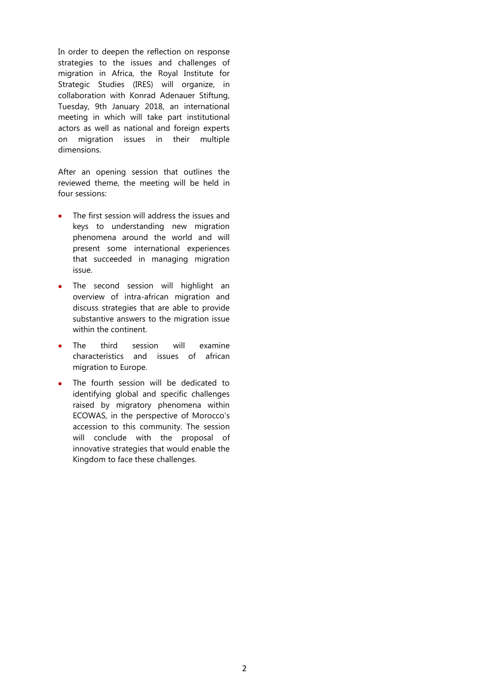In order to deepen the reflection on response strategies to the issues and challenges of migration in Africa, the Royal Institute for Strategic Studies (IRES) will organize, in collaboration with Konrad Adenauer Stiftung, Tuesday, 9th January 2018, an international meeting in which will take part institutional actors as well as national and foreign experts on migration issues in their multiple dimensions.

After an opening session that outlines the reviewed theme, the meeting will be held in four sessions:

- The first session will address the issues and keys to understanding new migration phenomena around the world and will present some international experiences that succeeded in managing migration issue.
- The second session will highlight an overview of intra-african migration and discuss strategies that are able to provide substantive answers to the migration issue within the continent.
- The third session will examine characteristics and issues of african migration to Europe.
- The fourth session will be dedicated to identifying global and specific challenges raised by migratory phenomena within ECOWAS, in the perspective of Morocco's accession to this community. The session will conclude with the proposal of innovative strategies that would enable the Kingdom to face these challenges.